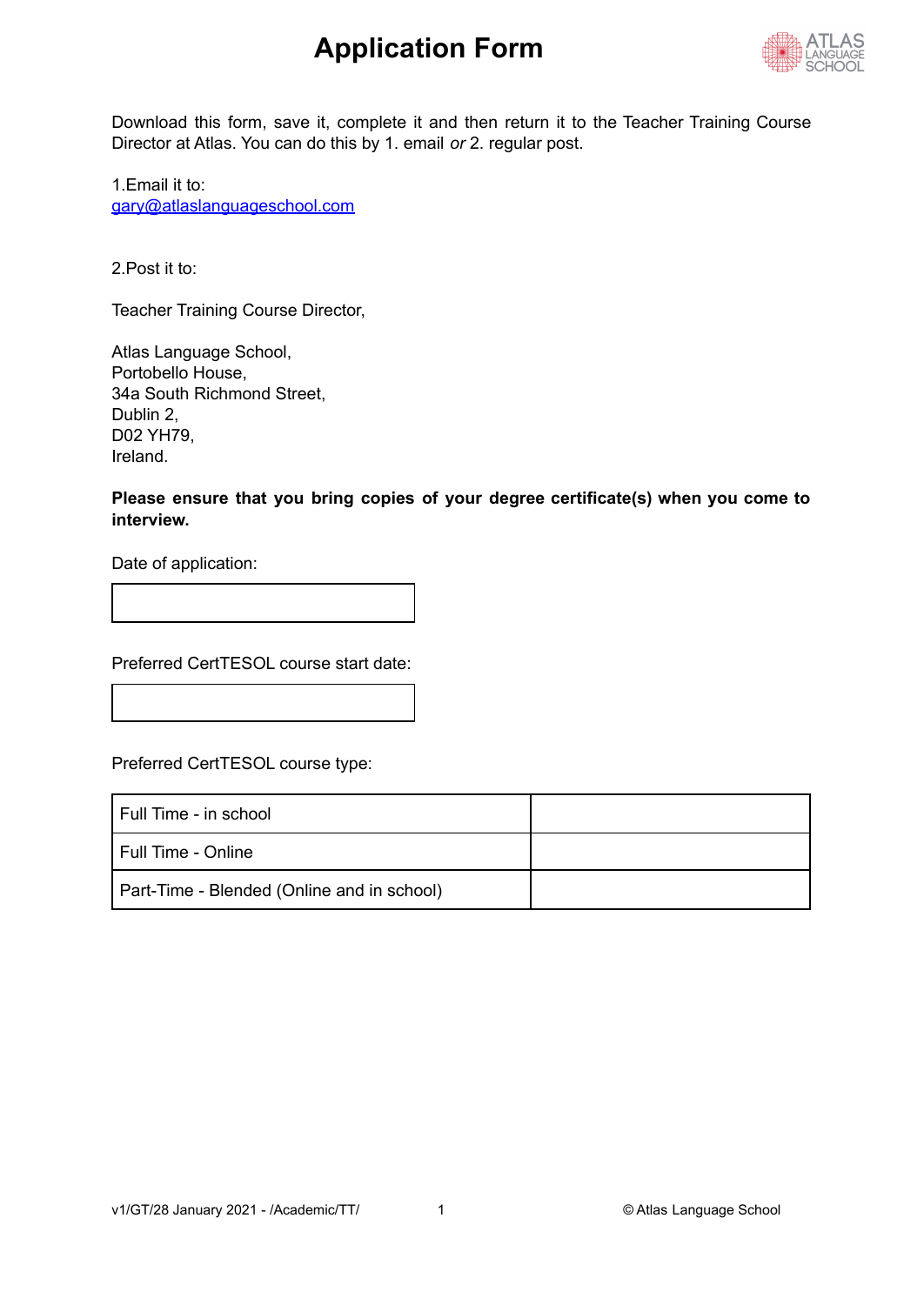

Download this form, save it, complete it and then return it to the Teacher Training Course Director at Atlas. You can do this by 1. email *or* 2. regular post.

1.Email it to: [gary@atlaslanguageschool.com](mailto:gary@atlaslanguageschool.com)

2.Post it to:

Teacher Training Course Director,

Atlas Language School, Portobello House, 34a South Richmond Street, Dublin 2, D02 YH79, Ireland.

**Please ensure that you bring copies of your degree certificate(s) when you come to interview.**

Date of application:

Preferred CertTESOL course start date:

Preferred CertTESOL course type:

| l Full Time - in school                    |  |
|--------------------------------------------|--|
| l Full Time - Online                       |  |
| Part-Time - Blended (Online and in school) |  |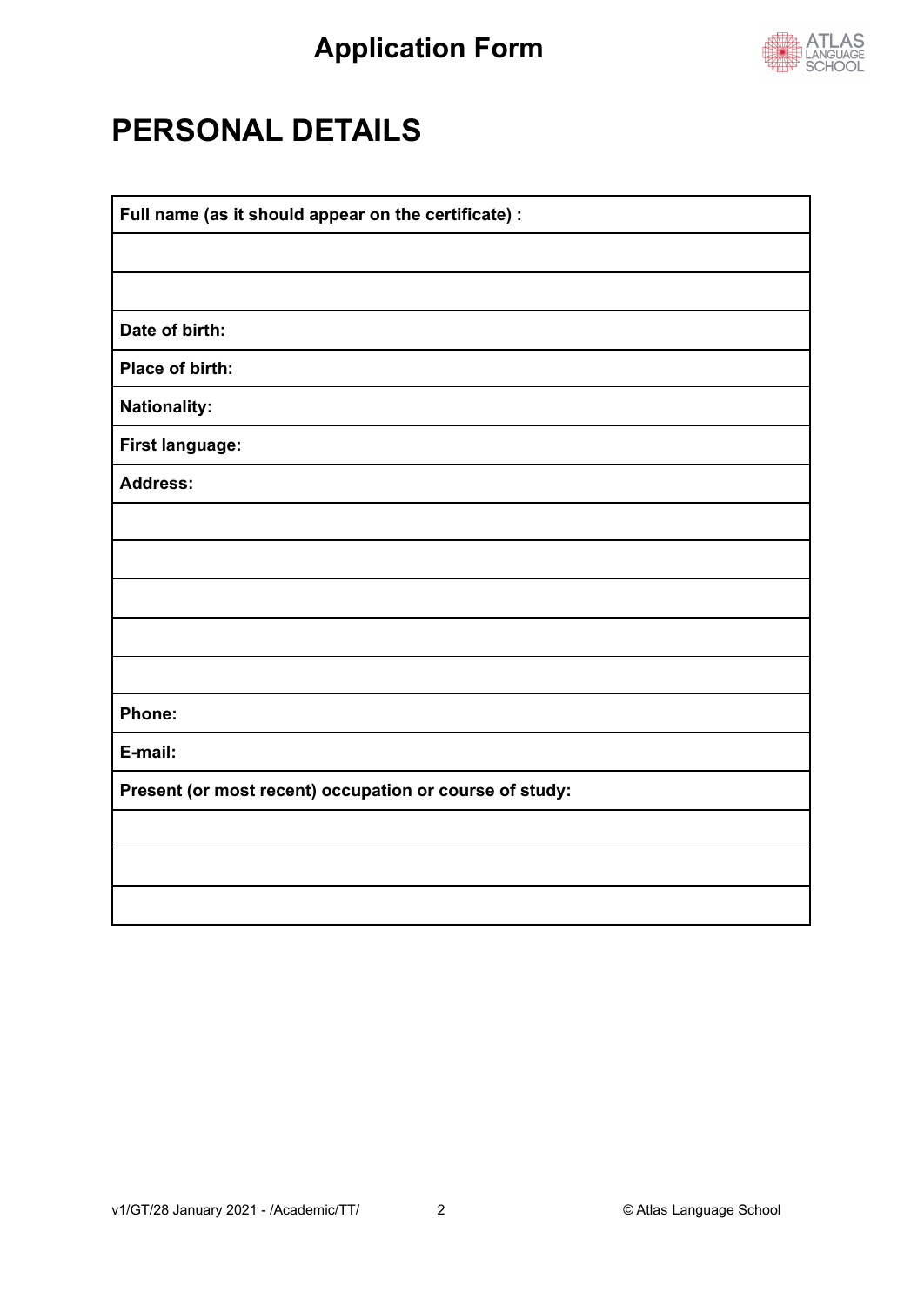

## **PERSONAL DETAILS**

| Full name (as it should appear on the certificate) :    |  |  |
|---------------------------------------------------------|--|--|
|                                                         |  |  |
|                                                         |  |  |
| Date of birth:                                          |  |  |
| Place of birth:                                         |  |  |
| <b>Nationality:</b>                                     |  |  |
| <b>First language:</b>                                  |  |  |
| <b>Address:</b>                                         |  |  |
|                                                         |  |  |
|                                                         |  |  |
|                                                         |  |  |
|                                                         |  |  |
|                                                         |  |  |
| Phone:                                                  |  |  |
| E-mail:                                                 |  |  |
| Present (or most recent) occupation or course of study: |  |  |
|                                                         |  |  |
|                                                         |  |  |
|                                                         |  |  |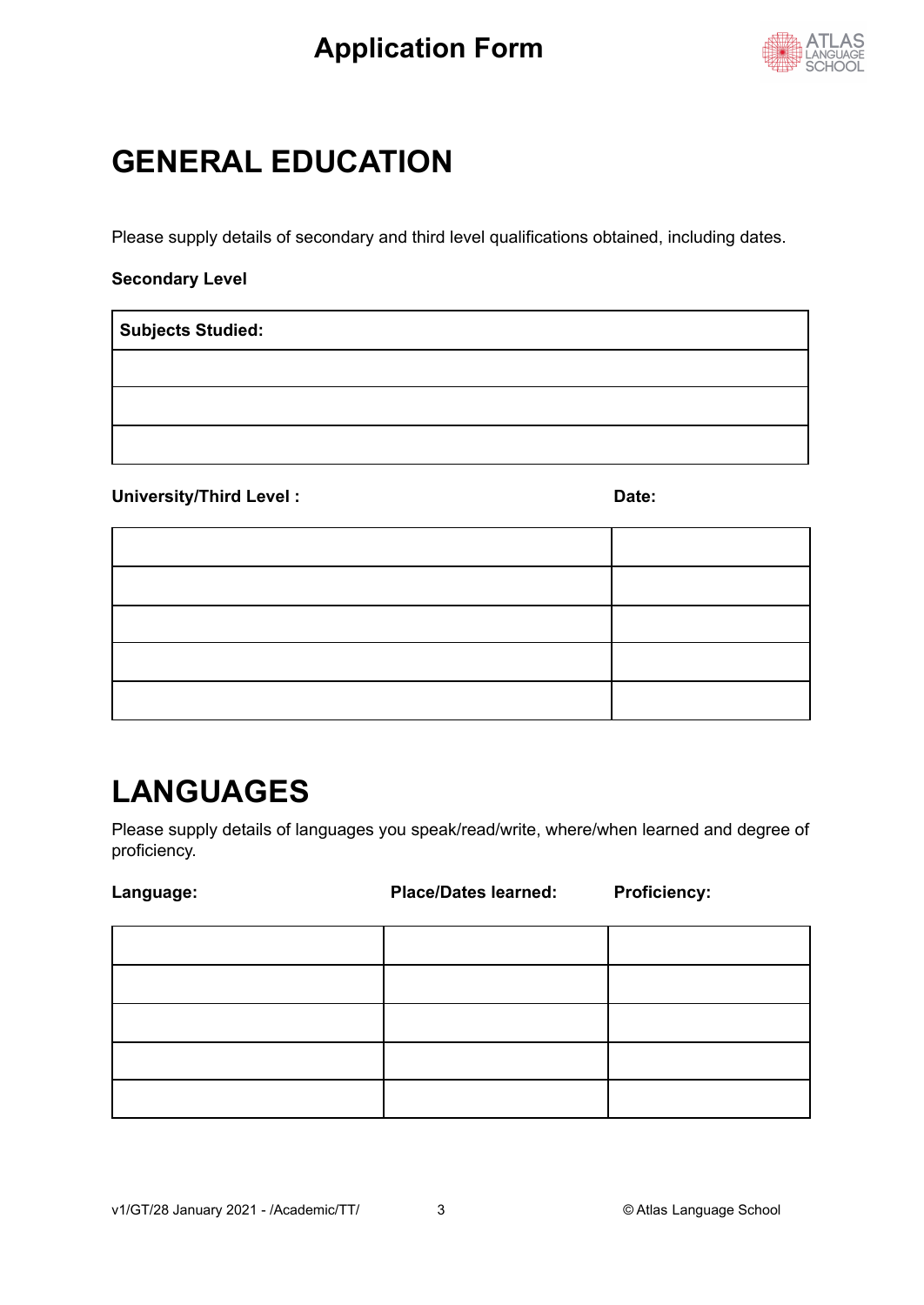

## **GENERAL EDUCATION**

Please supply details of secondary and third level qualifications obtained, including dates.

#### **Secondary Level**

**Subjects Studied:**

#### University/Third Level : **Date:** Date:

# **LANGUAGES**

Please supply details of languages you speak/read/write, where/when learned and degree of proficiency.

| Language: | <b>Place/Dates learned:</b> | <b>Proficiency:</b> |
|-----------|-----------------------------|---------------------|
|           |                             |                     |
|           |                             |                     |
|           |                             |                     |
|           |                             |                     |
|           |                             |                     |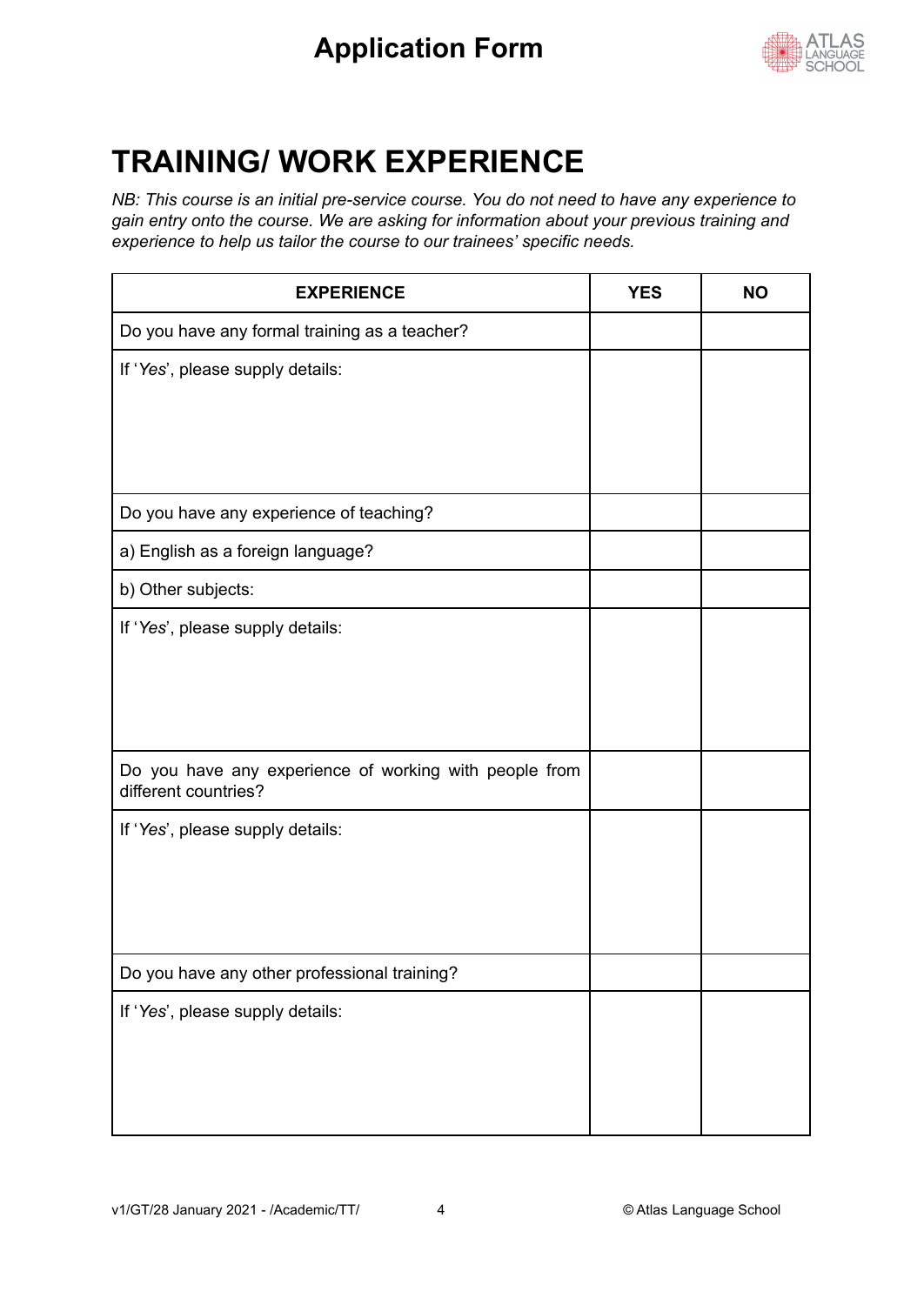

## **TRAINING/ WORK EXPERIENCE**

*NB: This course is an initial pre-service course. You do not need to have any experience to gain entry onto the course. We are asking for information about your previous training and experience to help us tailor the course to our trainees' specific needs.*

| <b>EXPERIENCE</b>                                                              | <b>YES</b> | <b>NO</b> |
|--------------------------------------------------------------------------------|------------|-----------|
| Do you have any formal training as a teacher?                                  |            |           |
| If 'Yes', please supply details:                                               |            |           |
| Do you have any experience of teaching?                                        |            |           |
| a) English as a foreign language?                                              |            |           |
| b) Other subjects:                                                             |            |           |
| If 'Yes', please supply details:                                               |            |           |
| Do you have any experience of working with people from<br>different countries? |            |           |
| If 'Yes', please supply details:                                               |            |           |
| Do you have any other professional training?                                   |            |           |
| If 'Yes', please supply details:                                               |            |           |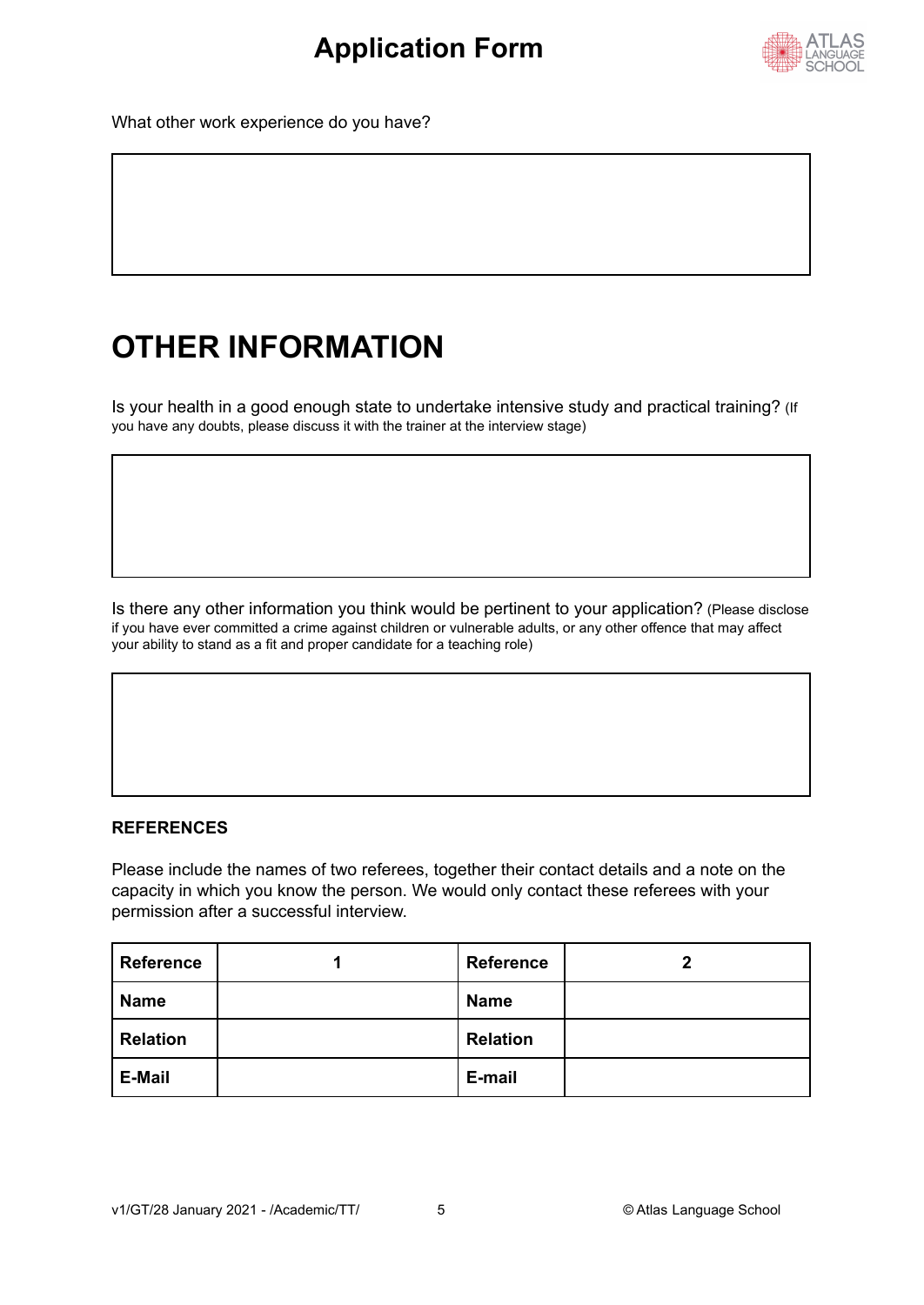

What other work experience do you have?

# **OTHER INFORMATION**

Is your health in a good enough state to undertake intensive study and practical training? (If you have any doubts, please discuss it with the trainer at the interview stage)

Is there any other information you think would be pertinent to your application? (Please disclose if you have ever committed a crime against children or vulnerable adults, or any other offence that may affect your ability to stand as a fit and proper candidate for a teaching role)

#### **REFERENCES**

Please include the names of two referees, together their contact details and a note on the capacity in which you know the person. We would only contact these referees with your permission after a successful interview.

| <b>Reference</b> | <b>Reference</b> | 7 |
|------------------|------------------|---|
| <b>Name</b>      | <b>Name</b>      |   |
| <b>Relation</b>  | <b>Relation</b>  |   |
| <b>E-Mail</b>    | E-mail           |   |